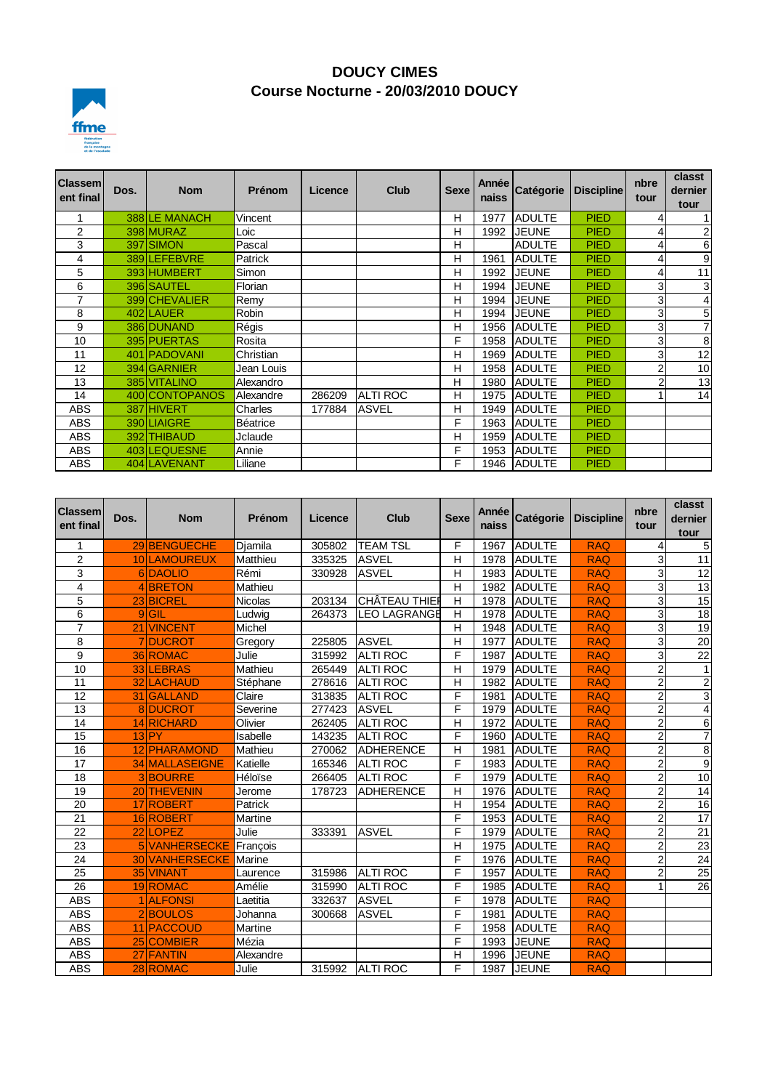

## **DOUCY CIMES Course Nocturne - 20/03/2010 DOUCY**

| <b>Classem</b><br>ent final | Dos. | <b>Nom</b>     | Prénom     | Licence | Club            | <b>Sexe</b> | Année<br>naiss | Catégorie     | <b>Discipline</b> | nbre<br>tour   | classt<br>dernier |
|-----------------------------|------|----------------|------------|---------|-----------------|-------------|----------------|---------------|-------------------|----------------|-------------------|
|                             |      |                |            |         |                 |             |                |               |                   |                | tour              |
|                             |      | 388 LE MANACH  | Vincent    |         |                 | н           | 1977           | <b>ADULTE</b> | <b>PIED</b>       | 4              | $\mathbf{1}$      |
| 2                           |      | 398 MURAZ      | Loic       |         |                 | н           | 1992           | <b>JEUNE</b>  | <b>PIED</b>       | 4              | $\overline{2}$    |
| 3                           |      | 397 SIMON      | Pascal     |         |                 | н           |                | <b>ADULTE</b> | <b>PIED</b>       | $\overline{4}$ | 6                 |
| 4                           |      | 389 LEFEBVRE   | Patrick    |         |                 | Н           | 1961           | <b>ADULTE</b> | <b>PIED</b>       | 4              | 9                 |
| 5                           |      | 393 HUMBERT    | Simon      |         |                 | Н           | 1992           | <b>JEUNE</b>  | <b>PIED</b>       | 4              | 11                |
| 6                           |      | 396 SAUTEL     | Florian    |         |                 | н           | 1994           | <b>JEUNE</b>  | <b>PIED</b>       | 3              | 3                 |
| 7                           |      | 399 CHEVALIER  | Remy       |         |                 | н           | 1994           | JEUNE         | <b>PIED</b>       | 3 <sup>1</sup> | 4                 |
| 8                           |      | 402 LAUER      | Robin      |         |                 | Н           | 1994           | <b>JEUNE</b>  | <b>PIED</b>       | 3              | 5                 |
| 9                           |      | 386 DUNAND     | Régis      |         |                 | Н           | 1956           | <b>ADULTE</b> | <b>PIED</b>       | 3              | $\overline{7}$    |
| 10                          |      | 395 PUERTAS    | Rosita     |         |                 | F           | 1958           | <b>ADULTE</b> | <b>PIED</b>       | 3 <sup>1</sup> | 8                 |
| 11                          |      | 401 PADOVANI   | Christian  |         |                 | Н           | 1969           | <b>ADULTE</b> | <b>PIED</b>       | 3 <sub>l</sub> | 12                |
| 12                          |      | 394 GARNIER    | Jean Louis |         |                 | н           | 1958           | <b>ADULTE</b> | <b>PIED</b>       | 2              | 10                |
| 13                          |      | 385 VITALINO   | Alexandro  |         |                 | Н           | 1980           | <b>ADULTE</b> | <b>PIED</b>       | 2              | 13                |
| 14                          |      | 400 CONTOPANOS | Alexandre  | 286209  | <b>ALTI ROC</b> | н           | 1975           | <b>ADULTE</b> | <b>PIED</b>       |                | 14                |
| ABS                         |      | 387 HIVERT     | Charles    | 177884  | <b>ASVEL</b>    | н           | 1949           | <b>ADULTE</b> | <b>PIED</b>       |                |                   |
| ABS                         |      | 390 LIAIGRE    | Béatrice   |         |                 | F           | 1963           | <b>ADULTE</b> | <b>PIED</b>       |                |                   |
| ABS                         |      | 392 THIBAUD    | Jclaude    |         |                 | Н           | 1959           | <b>ADULTE</b> | <b>PIED</b>       |                |                   |
| <b>ABS</b>                  |      | 403 LEQUESNE   | Annie      |         |                 | F           | 1953           | <b>ADULTE</b> | <b>PIED</b>       |                |                   |
| ABS                         |      | 404 LAVENANT   | Liliane    |         |                 | F           | 1946           | <b>ADULTE</b> | <b>PIED</b>       |                |                   |

| <b>Classem</b><br>ent final | Dos. | <b>Nom</b>            | Prénom    | <b>Licence</b> | <b>Club</b>          | <b>Sexe</b> | Année<br>naiss | Catégorie     | <b>Discipline</b> | nbre<br>tour   | classt<br>dernier<br>tour |
|-----------------------------|------|-----------------------|-----------|----------------|----------------------|-------------|----------------|---------------|-------------------|----------------|---------------------------|
| 1                           |      | 29 BENGUECHE          | Diamila   | 305802         | <b>TEAM TSL</b>      | F           | 1967           | <b>ADULTE</b> | <b>RAQ</b>        | 4              | 5                         |
| $\overline{2}$              |      | 10 LAMOUREUX          | Matthieu  | 335325         | <b>ASVEL</b>         | Н           | 1978           | <b>ADULTE</b> | <b>RAQ</b>        | 3              | 11                        |
| 3                           |      | 6DAOLIO               | Rémi      | 330928         | <b>ASVEL</b>         | H           | 1983           | <b>ADULTE</b> | <b>RAQ</b>        | 3              | 12                        |
| 4                           |      | 4BRETON               | Mathieu   |                |                      | Н           | 1982           | <b>ADULTE</b> | <b>RAQ</b>        | 3              | $\overline{13}$           |
| 5                           |      | 23 BICREL             | Nicolas   | 203134         | <b>CHÂTEAU THIER</b> | H           | 1978           | <b>ADULTE</b> | <b>RAQ</b>        | 3              | 15                        |
| 6                           |      | $9$ $GIL$             | Ludwig    | 264373         | LEO LAGRANGE         | н           | 1978           | <b>ADULTE</b> | <b>RAQ</b>        | 3              | $\overline{18}$           |
| $\overline{7}$              |      | 21 VINCENT            | Michel    |                |                      | Н           | 1948           | ADULTE        | <b>RAQ</b>        | 3              | 19                        |
| 8                           |      | <b>7DUCROT</b>        | Gregory   | 225805         | <b>ASVEL</b>         | Н           | 1977           | <b>ADULTE</b> | <b>RAQ</b>        | $\overline{3}$ | $\overline{20}$           |
| 9                           |      | 36 ROMAC              | Julie     | 315992         | <b>ALTI ROC</b>      | F           | 1987           | ADULTE        | <b>RAQ</b>        | 3              | 22                        |
| 10                          |      | 33 LEBRAS             | Mathieu   | 265449         | <b>ALTI ROC</b>      | Н           | 1979           | <b>ADULTE</b> | <b>RAQ</b>        | $\overline{2}$ | $\mathbf{1}$              |
| $\overline{11}$             |      | 32 LACHAUD            | Stéphane  | 278616         | <b>ALTI ROC</b>      | Н           | 1982           | <b>ADULTE</b> | <b>RAQ</b>        | $\overline{2}$ | $\overline{2}$            |
| 12                          |      | 31 GALLAND            | Claire    | 313835         | <b>ALTI ROC</b>      | F           | 1981           | <b>ADULTE</b> | <b>RAQ</b>        | 2              | $\overline{3}$            |
| $\overline{13}$             |      | 8 DUCROT              | Severine  | 277423         | <b>ASVEL</b>         | F           | 1979           | <b>ADULTE</b> | <b>RAQ</b>        | $\overline{2}$ | $\overline{\mathbf{4}}$   |
| 14                          |      | 14 RICHARD            | Olivier   | 262405         | <b>ALTI ROC</b>      | Н           | 1972           | <b>ADULTE</b> | <b>RAQ</b>        | $\overline{c}$ | $\overline{6}$            |
| 15                          |      | $13$ PY               | Isabelle  | 143235         | <b>ALTI ROC</b>      | F           | 1960           | <b>ADULTE</b> | <b>RAQ</b>        | $\overline{2}$ | $\overline{7}$            |
| 16                          |      | 12 PHARAMOND          | Mathieu   | 270062         | <b>ADHERENCE</b>     | Н           | 1981           | <b>ADULTE</b> | <b>RAQ</b>        | 2              | 8                         |
| 17                          |      | 34 MALLASEIGNE        | Katielle  | 165346         | <b>ALTI ROC</b>      | F           | 1983           | <b>ADULTE</b> | <b>RAQ</b>        | $\overline{2}$ | $\overline{9}$            |
| 18                          |      | 3BOURRE               | Héloïse   | 266405         | <b>ALTI ROC</b>      | F           | 1979           | ADULTE        | <b>RAQ</b>        | $\overline{2}$ | 10                        |
| 19                          |      | 20 THEVENIN           | Jerome    | 178723         | <b>ADHERENCE</b>     | Н           | 1976           | <b>ADULTE</b> | <b>RAQ</b>        | $\overline{2}$ | $\overline{14}$           |
| 20                          |      | 17 ROBERT             | Patrick   |                |                      | Н           | 1954           | <b>ADULTE</b> | <b>RAQ</b>        | $\overline{2}$ | 16                        |
| 21                          |      | 16 ROBERT             | Martine   |                |                      | F           | 1953           | <b>ADULTE</b> | <b>RAQ</b>        | 2              | 17                        |
| 22                          |      | 22 LOPEZ              | Julie     | 333391         | <b>ASVEL</b>         | F           | 1979           | <b>ADULTE</b> | <b>RAQ</b>        | $\overline{2}$ | $\overline{21}$           |
| 23                          |      | 5 VANHERSECKE         | François  |                |                      | Н           | 1975           | ADULTE        | <b>RAQ</b>        | $\overline{2}$ | 23                        |
| 24                          |      | <b>30 VANHERSECKE</b> | Marine    |                |                      | F           | 1976           | <b>ADULTE</b> | <b>RAQ</b>        | $\overline{2}$ | 24                        |
| 25                          |      | 35 VINANT             | Laurence  | 315986         | <b>ALTI ROC</b>      | F           | 1957           | ADULTE        | <b>RAQ</b>        | $\overline{2}$ | $\overline{25}$           |
| $\overline{26}$             |      | 19ROMAC               | Amélie    | 315990         | <b>ALTI ROC</b>      | F           | 1985           | <b>ADULTE</b> | <b>RAQ</b>        |                | $\overline{26}$           |
| <b>ABS</b>                  |      | <b>1</b> ALFONSI      | Laetitia  | 332637         | <b>ASVEL</b>         | F           | 1978           | <b>ADULTE</b> | <b>RAQ</b>        |                |                           |
| <b>ABS</b>                  |      | 2BOULOS               | Johanna   | 300668         | <b>ASVEL</b>         | F           | 1981           | <b>ADULTE</b> | <b>RAQ</b>        |                |                           |
| <b>ABS</b>                  |      | 11 PACCOUD            | Martine   |                |                      | F           | 1958           | <b>ADULTE</b> | <b>RAQ</b>        |                |                           |
| <b>ABS</b>                  |      | 25 COMBIER            | Mézia     |                |                      | F           | 1993           | <b>JEUNE</b>  | <b>RAQ</b>        |                |                           |
| <b>ABS</b>                  |      | 27 FANTIN             | Alexandre |                |                      | Н           | 1996           | <b>JEUNE</b>  | <b>RAQ</b>        |                |                           |
| <b>ABS</b>                  |      | 28 ROMAC              | Julie     | 315992         | <b>ALTI ROC</b>      | F           | 1987           | <b>JEUNE</b>  | <b>RAQ</b>        |                |                           |